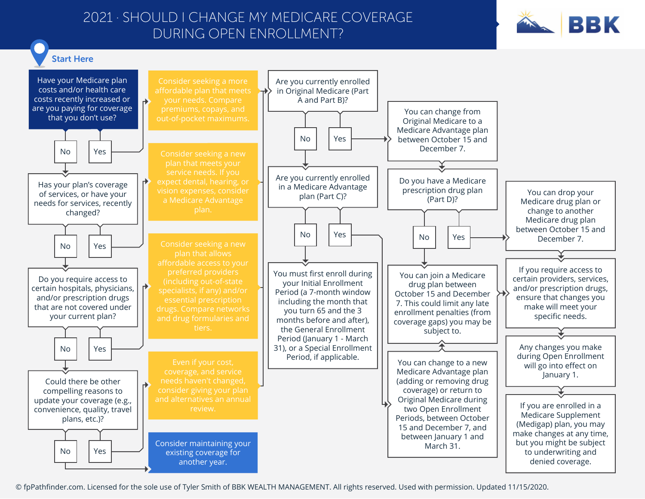## 2021 · SHOULD I CHANGE MY MEDICARE COVERAGE DURING OPEN ENROLLMENT?





© fpPathfinder.com. Licensed for the sole use of Tyler Smith of BBK WEALTH MANAGEMENT. All rights reserved. Used with permission. Updated 11/15/2020.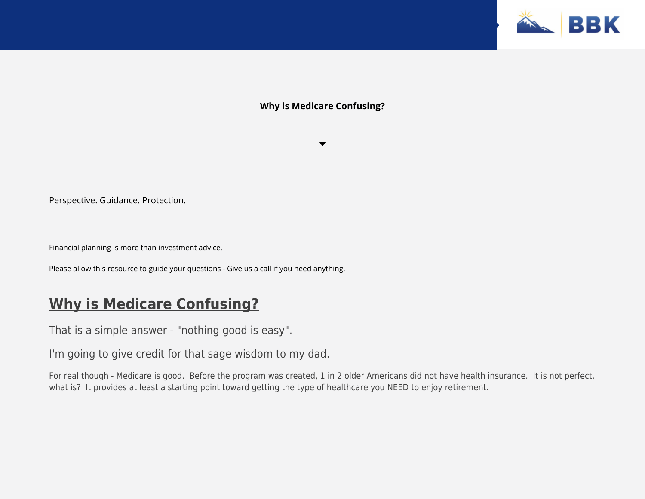

## **Why is Medicare Confusing?**

Perspective. Guidance. Protection.

Financial planning is more than investment advice.

Please allow this resource to guide your questions - Give us a call if you need anything.

# **Why is Medicare Confusing?**

That is a simple answer - "nothing good is easy".

I'm going to give credit for that sage wisdom to my dad.

For real though - Medicare is good. Before the program was created, 1 in 2 older Americans did not have health insurance. It is not perfect, what is? It provides at least a starting point toward getting the type of healthcare you NEED to enjoy retirement.